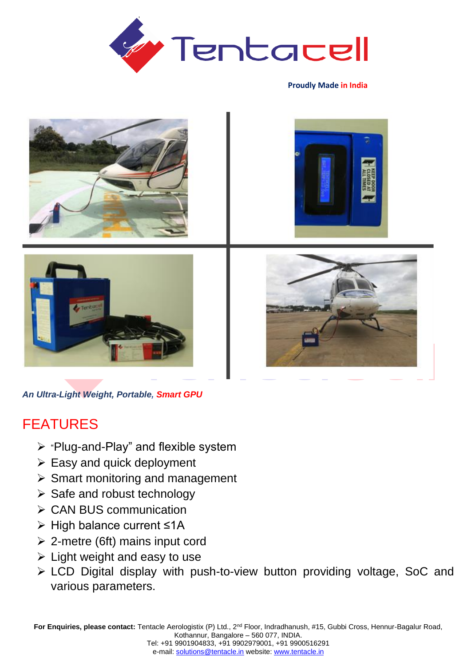

**Proudly Made in India**



*An Ultra-Light Weight, Portable, Smart GPU*

## FEATURES

- ➢ "Plug-and-Play" and flexible system
- $\triangleright$  Easy and quick deployment
- $\triangleright$  Smart monitoring and management
- ➢ Safe and robust technology
- ➢ CAN BUS communication
- ➢ High balance current ≤1A
- ➢ 2-metre (6ft) mains input cord
- $\triangleright$  Light weight and easy to use
- ➢ LCD Digital display with push-to-view button providing voltage, SoC and various parameters.